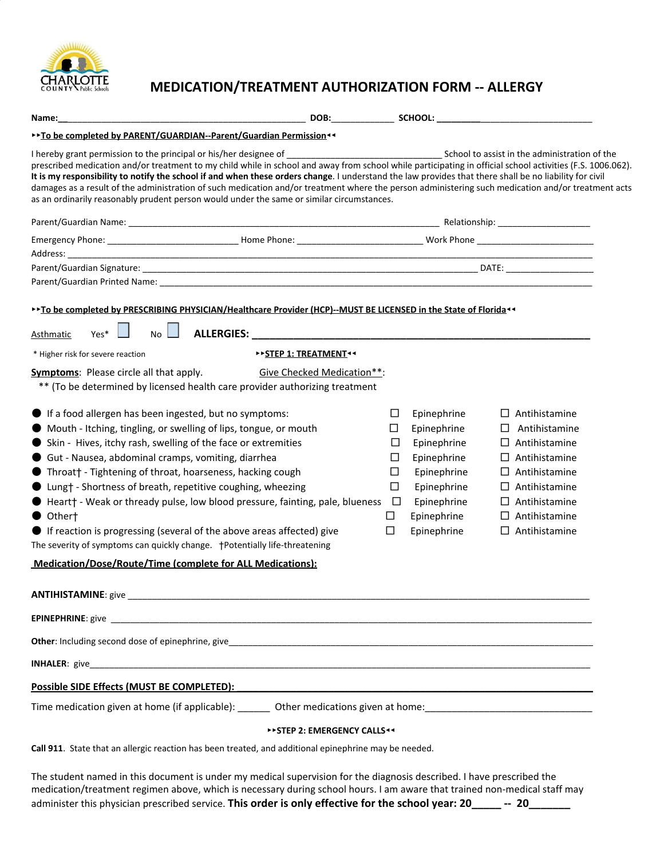

## **MEDICATION/TREATMENT AUTHORIZATION FORM -- ALLERGY**

| Name: when the contract of the contract of the contract of the contract of the contract of the contract of the                                                                                                                                                                                                                                                                                                                                                                                                                                                                                                                                                                                   |                                                                         |                                                     |                                                                                                                                     |  |                                                                                                                                                                                                        |  |  |
|--------------------------------------------------------------------------------------------------------------------------------------------------------------------------------------------------------------------------------------------------------------------------------------------------------------------------------------------------------------------------------------------------------------------------------------------------------------------------------------------------------------------------------------------------------------------------------------------------------------------------------------------------------------------------------------------------|-------------------------------------------------------------------------|-----------------------------------------------------|-------------------------------------------------------------------------------------------------------------------------------------|--|--------------------------------------------------------------------------------------------------------------------------------------------------------------------------------------------------------|--|--|
| ** To be completed by PARENT/GUARDIAN--Parent/Guardian Permission <<                                                                                                                                                                                                                                                                                                                                                                                                                                                                                                                                                                                                                             |                                                                         |                                                     |                                                                                                                                     |  |                                                                                                                                                                                                        |  |  |
| prescribed medication and/or treatment to my child while in school and away from school while participating in official school activities (F.S. 1006.062).<br>It is my responsibility to notify the school if and when these orders change. I understand the law provides that there shall be no liability for civil<br>damages as a result of the administration of such medication and/or treatment where the person administering such medication and/or treatment acts<br>as an ordinarily reasonably prudent person would under the same or similar circumstances.                                                                                                                          |                                                                         |                                                     |                                                                                                                                     |  |                                                                                                                                                                                                        |  |  |
|                                                                                                                                                                                                                                                                                                                                                                                                                                                                                                                                                                                                                                                                                                  |                                                                         |                                                     |                                                                                                                                     |  |                                                                                                                                                                                                        |  |  |
|                                                                                                                                                                                                                                                                                                                                                                                                                                                                                                                                                                                                                                                                                                  |                                                                         |                                                     |                                                                                                                                     |  |                                                                                                                                                                                                        |  |  |
|                                                                                                                                                                                                                                                                                                                                                                                                                                                                                                                                                                                                                                                                                                  |                                                                         |                                                     |                                                                                                                                     |  |                                                                                                                                                                                                        |  |  |
|                                                                                                                                                                                                                                                                                                                                                                                                                                                                                                                                                                                                                                                                                                  |                                                                         |                                                     |                                                                                                                                     |  |                                                                                                                                                                                                        |  |  |
| >> To be completed by PRESCRIBING PHYSICIAN/Healthcare Provider (HCP)--MUST BE LICENSED in the State of Florida <<<br>No<br>Yes*<br>Asthmatic<br>* Higher risk for severe reaction<br><b>Symptoms:</b> Please circle all that apply.                                                                                                                                                                                                                                                                                                                                                                                                                                                             | <b>&gt;&gt;STEP 1: TREATMENT**</b><br><b>Give Checked Medication**:</b> |                                                     |                                                                                                                                     |  |                                                                                                                                                                                                        |  |  |
| ** (To be determined by licensed health care provider authorizing treatment                                                                                                                                                                                                                                                                                                                                                                                                                                                                                                                                                                                                                      |                                                                         |                                                     |                                                                                                                                     |  |                                                                                                                                                                                                        |  |  |
| If a food allergen has been ingested, but no symptoms:<br>Mouth - Itching, tingling, or swelling of lips, tongue, or mouth<br>Skin - Hives, itchy rash, swelling of the face or extremities<br>Gut - Nausea, abdominal cramps, vomiting, diarrhea<br>● Throat† - Tightening of throat, hoarseness, hacking cough<br>Lung† - Shortness of breath, repetitive coughing, wheezing<br>● Heart† - Weak or thready pulse, low blood pressure, fainting, pale, blueness<br>Othert<br>If reaction is progressing (several of the above areas affected) give<br>The severity of symptoms can quickly change.  +Potentially life-threatening<br>Medication/Dose/Route/Time (complete for ALL Medications): |                                                                         | ப<br>ப<br>$\Box$<br>Ш<br>□<br>□<br>$\Box$<br>ப<br>□ | Epinephrine<br>Epinephrine<br>Epinephrine<br>Epinephrine<br>Epinephrine<br>Epinephrine<br>Epinephrine<br>Epinephrine<br>Epinephrine |  | $\Box$ Antihistamine<br>Antihistamine<br>$\Box$ Antihistamine<br>$\Box$ Antihistamine<br>$\Box$ Antihistamine<br>Antihistamine<br>$\Box$ Antihistamine<br>$\Box$ Antihistamine<br>$\Box$ Antihistamine |  |  |
|                                                                                                                                                                                                                                                                                                                                                                                                                                                                                                                                                                                                                                                                                                  |                                                                         |                                                     |                                                                                                                                     |  |                                                                                                                                                                                                        |  |  |
|                                                                                                                                                                                                                                                                                                                                                                                                                                                                                                                                                                                                                                                                                                  |                                                                         |                                                     |                                                                                                                                     |  |                                                                                                                                                                                                        |  |  |
|                                                                                                                                                                                                                                                                                                                                                                                                                                                                                                                                                                                                                                                                                                  |                                                                         |                                                     |                                                                                                                                     |  |                                                                                                                                                                                                        |  |  |
|                                                                                                                                                                                                                                                                                                                                                                                                                                                                                                                                                                                                                                                                                                  |                                                                         |                                                     |                                                                                                                                     |  |                                                                                                                                                                                                        |  |  |
|                                                                                                                                                                                                                                                                                                                                                                                                                                                                                                                                                                                                                                                                                                  |                                                                         |                                                     |                                                                                                                                     |  |                                                                                                                                                                                                        |  |  |
|                                                                                                                                                                                                                                                                                                                                                                                                                                                                                                                                                                                                                                                                                                  |                                                                         |                                                     |                                                                                                                                     |  |                                                                                                                                                                                                        |  |  |
|                                                                                                                                                                                                                                                                                                                                                                                                                                                                                                                                                                                                                                                                                                  | <b>&gt;&gt;STEP 2: EMERGENCY CALLS&lt;4</b>                             |                                                     |                                                                                                                                     |  |                                                                                                                                                                                                        |  |  |
| Call 911. State that an allergic reaction has been treated, and additional epinephrine may be needed.                                                                                                                                                                                                                                                                                                                                                                                                                                                                                                                                                                                            |                                                                         |                                                     |                                                                                                                                     |  |                                                                                                                                                                                                        |  |  |

The student named in this document is under my medical supervision for the diagnosis described. I have prescribed the medication/treatment regimen above, which is necessary during school hours. I am aware that trained non-medical staff may administer this physician prescribed service. **This order is only effective for the school year: 20\_\_\_\_\_ -- 20\_\_\_\_\_\_\_**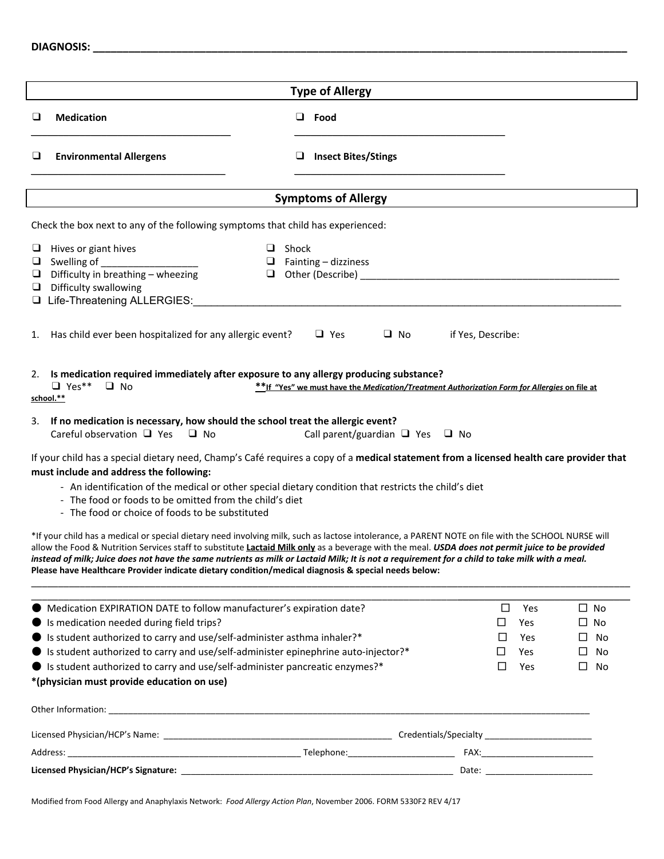| <b>DIAGNOSIS:</b> |  |
|-------------------|--|
|                   |  |

|    |                                                                                                                                                                                                                                                                                                                                                                                                                                                                                                                                                                                                                                                                                                                                                                                                                                                                                                                                                                                                                                                                                                                                                                                                                                                  |              | <b>Type of Allergy</b>                                                                                                                     |           |                       |                                      |                            |                                          |
|----|--------------------------------------------------------------------------------------------------------------------------------------------------------------------------------------------------------------------------------------------------------------------------------------------------------------------------------------------------------------------------------------------------------------------------------------------------------------------------------------------------------------------------------------------------------------------------------------------------------------------------------------------------------------------------------------------------------------------------------------------------------------------------------------------------------------------------------------------------------------------------------------------------------------------------------------------------------------------------------------------------------------------------------------------------------------------------------------------------------------------------------------------------------------------------------------------------------------------------------------------------|--------------|--------------------------------------------------------------------------------------------------------------------------------------------|-----------|-----------------------|--------------------------------------|----------------------------|------------------------------------------|
| o  | <b>Medication</b>                                                                                                                                                                                                                                                                                                                                                                                                                                                                                                                                                                                                                                                                                                                                                                                                                                                                                                                                                                                                                                                                                                                                                                                                                                |              | $\Box$ Food                                                                                                                                |           |                       |                                      |                            |                                          |
| ⊔  | <b>Environmental Allergens</b>                                                                                                                                                                                                                                                                                                                                                                                                                                                                                                                                                                                                                                                                                                                                                                                                                                                                                                                                                                                                                                                                                                                                                                                                                   |              | <b>Insect Bites/Stings</b>                                                                                                                 |           |                       |                                      |                            |                                          |
|    |                                                                                                                                                                                                                                                                                                                                                                                                                                                                                                                                                                                                                                                                                                                                                                                                                                                                                                                                                                                                                                                                                                                                                                                                                                                  |              | <b>Symptoms of Allergy</b>                                                                                                                 |           |                       |                                      |                            |                                          |
|    | Check the box next to any of the following symptoms that child has experienced:                                                                                                                                                                                                                                                                                                                                                                                                                                                                                                                                                                                                                                                                                                                                                                                                                                                                                                                                                                                                                                                                                                                                                                  |              |                                                                                                                                            |           |                       |                                      |                            |                                          |
|    | $\Box$ Hives or giant hives<br>$\Box$ Swelling of<br>$\Box$ Difficulty in breathing – wheezing<br>$\Box$ Difficulty swallowing<br>Life-Threatening ALLERGIES:                                                                                                                                                                                                                                                                                                                                                                                                                                                                                                                                                                                                                                                                                                                                                                                                                                                                                                                                                                                                                                                                                    | $\Box$ Shock | $\Box$ Fainting – dizziness<br><u> 1980 - John Stein, Amerikaansk politiker (</u>                                                          |           |                       |                                      |                            |                                          |
| 1. | Has child ever been hospitalized for any allergic event?                                                                                                                                                                                                                                                                                                                                                                                                                                                                                                                                                                                                                                                                                                                                                                                                                                                                                                                                                                                                                                                                                                                                                                                         |              | $\Box$ Yes                                                                                                                                 | $\Box$ No | if Yes, Describe:     |                                      |                            |                                          |
| 3. | 2. Is medication required immediately after exposure to any allergy producing substance?<br>$\Box$ Yes**<br>$\Box$ No<br>school.**<br>If no medication is necessary, how should the school treat the allergic event?<br>Careful observation $\Box$ Yes $\Box$ No<br>If your child has a special dietary need, Champ's Café requires a copy of a medical statement from a licensed health care provider that<br>must include and address the following:<br>- An identification of the medical or other special dietary condition that restricts the child's diet<br>- The food or foods to be omitted from the child's diet<br>- The food or choice of foods to be substituted<br>*If your child has a medical or special dietary need involving milk, such as lactose intolerance, a PARENT NOTE on file with the SCHOOL NURSE will<br>allow the Food & Nutrition Services staff to substitute Lactaid Milk only as a beverage with the meal. USDA does not permit juice to be provided<br>instead of milk; Juice does not have the same nutrients as milk or Lactaid Milk; It is not a requirement for a child to take milk with a meal.<br>Please have Healthcare Provider indicate dietary condition/medical diagnosis & special needs below: |              | ** If "Yes" we must have the Medication/Treatment Authorization Form for Allergies on file at<br>Call parent/guardian $\Box$ Yes $\Box$ No |           |                       |                                      |                            |                                          |
|    | Medication EXPIRATION DATE to follow manufacturer's expiration date?<br>Is medication needed during field trips?<br>Is student authorized to carry and use/self-administer asthma inhaler?*<br>• Is student authorized to carry and use/self-administer epinephrine auto-injector?*<br>● Is student authorized to carry and use/self-administer pancreatic enzymes?*<br>*(physician must provide education on use)                                                                                                                                                                                                                                                                                                                                                                                                                                                                                                                                                                                                                                                                                                                                                                                                                               |              |                                                                                                                                            |           | ப<br>$\Box$<br>⊔<br>□ | □<br>Yes<br>Yes<br>Yes<br>Yes<br>Yes | $\Box$<br>$\Box$<br>$\Box$ | $\Box$ No<br>$\Box$ No<br>No<br>No<br>No |
|    |                                                                                                                                                                                                                                                                                                                                                                                                                                                                                                                                                                                                                                                                                                                                                                                                                                                                                                                                                                                                                                                                                                                                                                                                                                                  |              |                                                                                                                                            |           |                       |                                      |                            |                                          |
|    |                                                                                                                                                                                                                                                                                                                                                                                                                                                                                                                                                                                                                                                                                                                                                                                                                                                                                                                                                                                                                                                                                                                                                                                                                                                  |              |                                                                                                                                            |           |                       |                                      |                            |                                          |
|    |                                                                                                                                                                                                                                                                                                                                                                                                                                                                                                                                                                                                                                                                                                                                                                                                                                                                                                                                                                                                                                                                                                                                                                                                                                                  |              |                                                                                                                                            |           |                       |                                      |                            |                                          |

Modified from Food Allergy and Anaphylaxis Network: *Food Allergy Action Plan*, November 2006. FORM 5330F2 REV 4/17